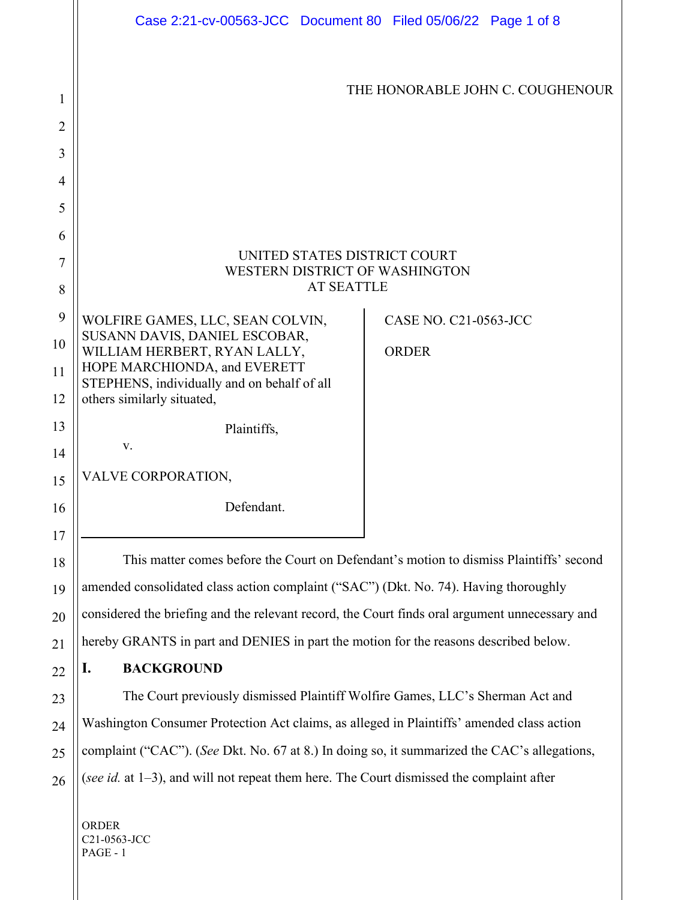|                | Case 2:21-cv-00563-JCC Document 80 Filed 05/06/22 Page 1 of 8                                  |                              |  |
|----------------|------------------------------------------------------------------------------------------------|------------------------------|--|
| 1              | THE HONORABLE JOHN C. COUGHENOUR                                                               |                              |  |
| $\overline{2}$ |                                                                                                |                              |  |
| 3              |                                                                                                |                              |  |
| 4              |                                                                                                |                              |  |
| 5              |                                                                                                |                              |  |
| 6<br>7         | UNITED STATES DISTRICT COURT<br>WESTERN DISTRICT OF WASHINGTON                                 |                              |  |
| 8              | <b>AT SEATTLE</b>                                                                              |                              |  |
| 9              | WOLFIRE GAMES, LLC, SEAN COLVIN,                                                               | <b>CASE NO. C21-0563-JCC</b> |  |
| 10             | SUSANN DAVIS, DANIEL ESCOBAR,<br>WILLIAM HERBERT, RYAN LALLY,                                  | <b>ORDER</b>                 |  |
| 11             | HOPE MARCHIONDA, and EVERETT<br>STEPHENS, individually and on behalf of all                    |                              |  |
| 12             | others similarly situated,                                                                     |                              |  |
| 13             | Plaintiffs,                                                                                    |                              |  |
| 14             | V.                                                                                             |                              |  |
| 15             | VALVE CORPORATION,                                                                             |                              |  |
| 16             | Defendant.                                                                                     |                              |  |
| 17             |                                                                                                |                              |  |
| 18             | This matter comes before the Court on Defendant's motion to dismiss Plaintiffs' second         |                              |  |
| 19             | amended consolidated class action complaint ("SAC") (Dkt. No. 74). Having thoroughly           |                              |  |
| 20             | considered the briefing and the relevant record, the Court finds oral argument unnecessary and |                              |  |
| 21             | hereby GRANTS in part and DENIES in part the motion for the reasons described below.           |                              |  |
| 22             | <b>BACKGROUND</b><br>I.                                                                        |                              |  |
| 23             | The Court previously dismissed Plaintiff Wolfire Games, LLC's Sherman Act and                  |                              |  |
| 24             | Washington Consumer Protection Act claims, as alleged in Plaintiffs' amended class action      |                              |  |
| 25             | complaint ("CAC"). (See Dkt. No. 67 at 8.) In doing so, it summarized the CAC's allegations,   |                              |  |
| 26             | (see id. at $1-3$ ), and will not repeat them here. The Court dismissed the complaint after    |                              |  |
|                | ORDER<br>C21-0563-JCC<br>PAGE - 1                                                              |                              |  |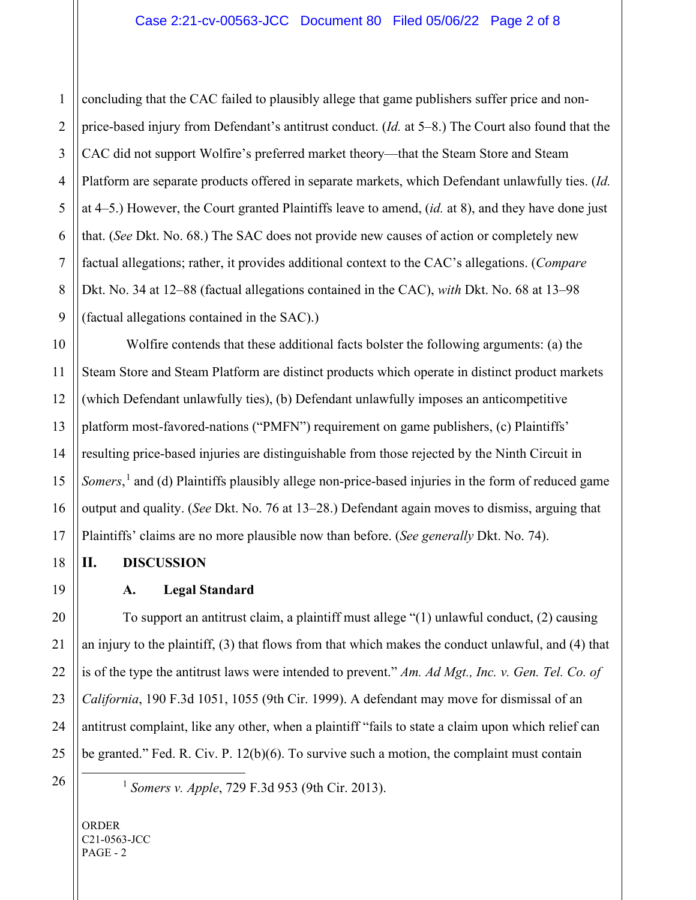concluding that the CAC failed to plausibly allege that game publishers suffer price and nonprice-based injury from Defendant's antitrust conduct. (*Id.* at 5–8.) The Court also found that the CAC did not support Wolfire's preferred market theory—that the Steam Store and Steam Platform are separate products offered in separate markets, which Defendant unlawfully ties. (*Id.* at 4–5.) However, the Court granted Plaintiffs leave to amend, (*id.* at 8), and they have done just that. (*See* Dkt. No. 68.) The SAC does not provide new causes of action or completely new factual allegations; rather, it provides additional context to the CAC's allegations. (*Compare*  Dkt. No. 34 at 12–88 (factual allegations contained in the CAC), *with* Dkt. No. 68 at 13–98 (factual allegations contained in the SAC).)

Wolfire contends that these additional facts bolster the following arguments: (a) the Steam Store and Steam Platform are distinct products which operate in distinct product markets (which Defendant unlawfully ties), (b) Defendant unlawfully imposes an anticompetitive platform most-favored-nations ("PMFN") requirement on game publishers, (c) Plaintiffs' resulting price-based injuries are distinguishable from those rejected by the Ninth Circuit in *Somers*, [1](#page-1-0) and (d) Plaintiffs plausibly allege non-price-based injuries in the form of reduced game output and quality. (*See* Dkt. No. 76 at 13–28.) Defendant again moves to dismiss, arguing that Plaintiffs' claims are no more plausible now than before. (*See generally* Dkt. No. 74).

**II. DISCUSSION**

### **A. Legal Standard**

To support an antitrust claim, a plaintiff must allege "(1) unlawful conduct, (2) causing an injury to the plaintiff, (3) that flows from that which makes the conduct unlawful, and (4) that is of the type the antitrust laws were intended to prevent." *Am. Ad Mgt., Inc. v. Gen. Tel. Co. of California*, 190 F.3d 1051, 1055 (9th Cir. 1999). A defendant may move for dismissal of an antitrust complaint, like any other, when a plaintiff "fails to state a claim upon which relief can be granted." Fed. R. Civ. P. 12(b)(6). To survive such a motion, the complaint must contain

<span id="page-1-0"></span>

<sup>1</sup> *Somers v. Apple*, 729 F.3d 953 (9th Cir. 2013).

ORDER C21-0563-JCC PAGE - 2

1

2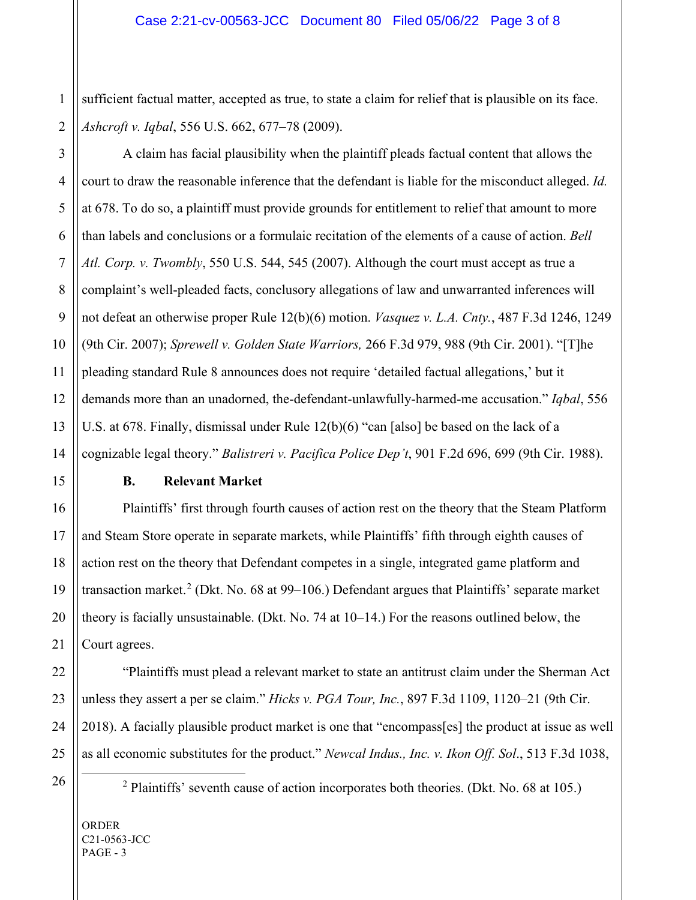1 2 sufficient factual matter, accepted as true, to state a claim for relief that is plausible on its face. *Ashcroft v. Iqbal*, 556 U.S. 662, 677–78 (2009).

A claim has facial plausibility when the plaintiff pleads factual content that allows the court to draw the reasonable inference that the defendant is liable for the misconduct alleged. *Id.*  at 678. To do so, a plaintiff must provide grounds for entitlement to relief that amount to more than labels and conclusions or a formulaic recitation of the elements of a cause of action. *Bell Atl. Corp. v. Twombly*, 550 U.S. 544, 545 (2007). Although the court must accept as true a complaint's well-pleaded facts, conclusory allegations of law and unwarranted inferences will not defeat an otherwise proper Rule 12(b)(6) motion. *Vasquez v. L.A. Cnty.*, 487 F.3d 1246, 1249 (9th Cir. 2007); *Sprewell v. Golden State Warriors,* 266 F.3d 979, 988 (9th Cir. 2001). "[T]he pleading standard Rule 8 announces does not require 'detailed factual allegations,' but it demands more than an unadorned, the-defendant-unlawfully-harmed-me accusation." *Iqbal*, 556 U.S. at 678. Finally, dismissal under Rule 12(b)(6) "can [also] be based on the lack of a cognizable legal theory." *Balistreri v. Pacifica Police Dep't*, 901 F.2d 696, 699 (9th Cir. 1988).

3

4

5

6

7

8

9

10

# **B. Relevant Market**

Plaintiffs' first through fourth causes of action rest on the theory that the Steam Platform and Steam Store operate in separate markets, while Plaintiffs' fifth through eighth causes of action rest on the theory that Defendant competes in a single, integrated game platform and transaction market.<sup>[2](#page-2-0)</sup> (Dkt. No. 68 at 99–106.) Defendant argues that Plaintiffs' separate market theory is facially unsustainable. (Dkt. No. 74 at 10–14.) For the reasons outlined below, the Court agrees.

"Plaintiffs must plead a relevant market to state an antitrust claim under the Sherman Act unless they assert a per se claim." *Hicks v. PGA Tour, Inc.*, 897 F.3d 1109, 1120–21 (9th Cir. 2018). A facially plausible product market is one that "encompass[es] the product at issue as well as all economic substitutes for the product." *Newcal Indus., Inc. v. Ikon Off. Sol*., 513 F.3d 1038,

<span id="page-2-0"></span>

 $2$  Plaintiffs' seventh cause of action incorporates both theories. (Dkt. No. 68 at 105.)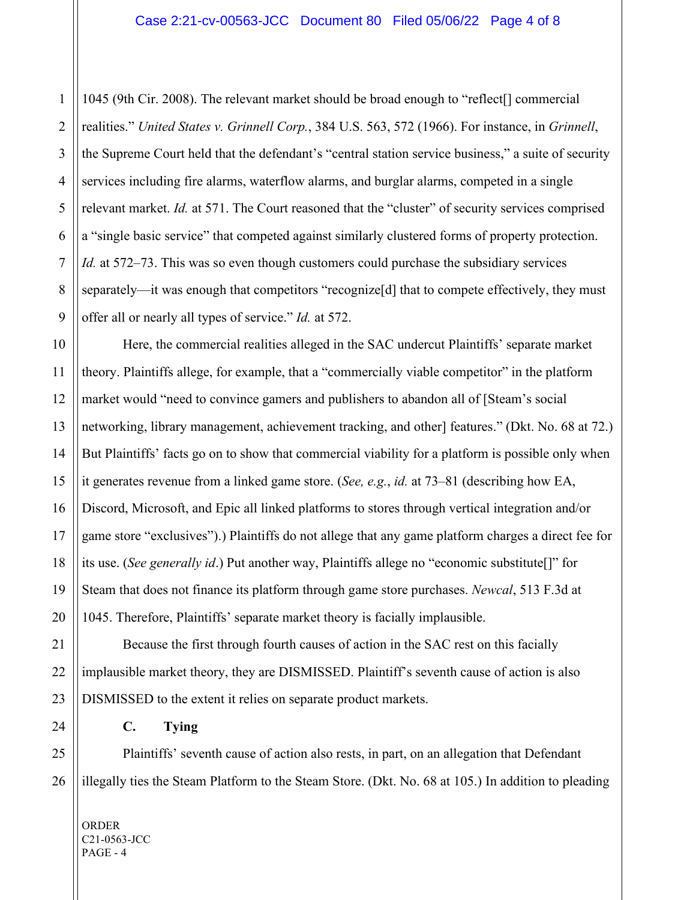1045 (9th Cir. 2008). The relevant market should be broad enough to "reflect[] commercial realities." *United States v. Grinnell Corp.*, 384 U.S. 563, 572 (1966). For instance, in *Grinnell*, the Supreme Court held that the defendant's "central station service business," a suite of security services including fire alarms, waterflow alarms, and burglar alarms, competed in a single relevant market. *Id.* at 571. The Court reasoned that the "cluster" of security services comprised a "single basic service" that competed against similarly clustered forms of property protection. *Id.* at 572–73. This was so even though customers could purchase the subsidiary services separately—it was enough that competitors "recognize[d] that to compete effectively, they must offer all or nearly all types of service." *Id.* at 572.

Here, the commercial realities alleged in the SAC undercut Plaintiffs' separate market theory. Plaintiffs allege, for example, that a "commercially viable competitor" in the platform market would "need to convince gamers and publishers to abandon all of [Steam's social networking, library management, achievement tracking, and other] features." (Dkt. No. 68 at 72.) But Plaintiffs' facts go on to show that commercial viability for a platform is possible only when it generates revenue from a linked game store. (*See, e.g.*, *id.* at 73–81 (describing how EA, Discord, Microsoft, and Epic all linked platforms to stores through vertical integration and/or game store "exclusives").) Plaintiffs do not allege that any game platform charges a direct fee for its use. (*See generally id*.) Put another way, Plaintiffs allege no "economic substitute[]" for Steam that does not finance its platform through game store purchases. *Newcal*, 513 F.3d at 1045. Therefore, Plaintiffs' separate market theory is facially implausible.

Because the first through fourth causes of action in the SAC rest on this facially implausible market theory, they are DISMISSED. Plaintiff's seventh cause of action is also DISMISSED to the extent it relies on separate product markets.

## **C. Tying**

Plaintiffs' seventh cause of action also rests, in part, on an allegation that Defendant illegally ties the Steam Platform to the Steam Store. (Dkt. No. 68 at 105.) In addition to pleading

ORDER C21-0563-JCC  $PAGE - 4$ 

1

2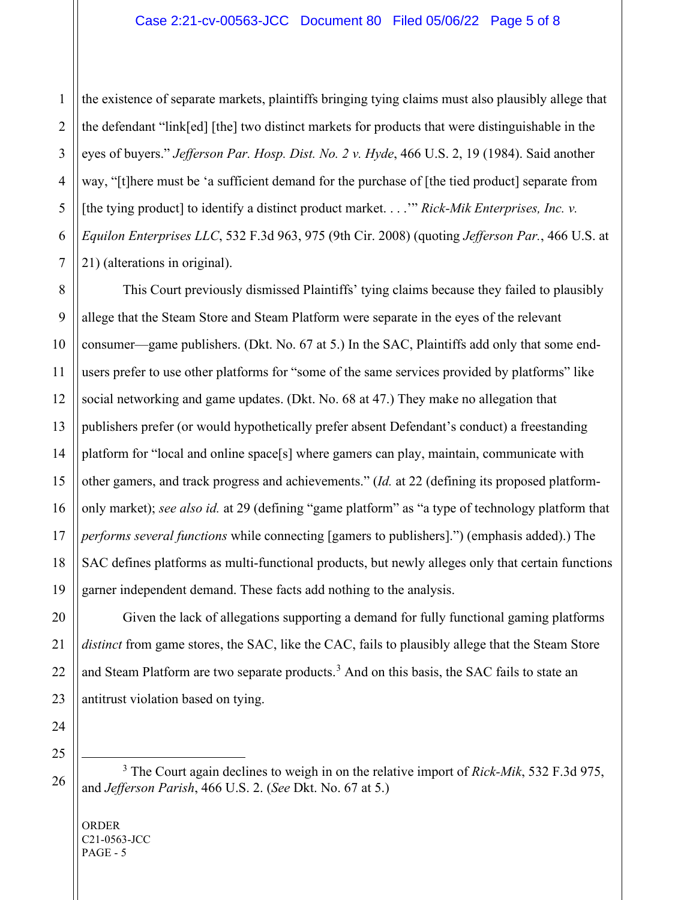the existence of separate markets, plaintiffs bringing tying claims must also plausibly allege that the defendant "link[ed] [the] two distinct markets for products that were distinguishable in the eyes of buyers." *Jefferson Par. Hosp. Dist. No. 2 v. Hyde*, 466 U.S. 2, 19 (1984). Said another way, "[t]here must be 'a sufficient demand for the purchase of [the tied product] separate from [the tying product] to identify a distinct product market. . . .'" *Rick-Mik Enterprises, Inc. v. Equilon Enterprises LLC*, 532 F.3d 963, 975 (9th Cir. 2008) (quoting *Jefferson Par.*, 466 U.S. at 21) (alterations in original).

This Court previously dismissed Plaintiffs' tying claims because they failed to plausibly allege that the Steam Store and Steam Platform were separate in the eyes of the relevant consumer—game publishers. (Dkt. No. 67 at 5.) In the SAC, Plaintiffs add only that some endusers prefer to use other platforms for "some of the same services provided by platforms" like social networking and game updates. (Dkt. No. 68 at 47.) They make no allegation that publishers prefer (or would hypothetically prefer absent Defendant's conduct) a freestanding platform for "local and online space[s] where gamers can play, maintain, communicate with other gamers, and track progress and achievements." (*Id.* at 22 (defining its proposed platformonly market); *see also id.* at 29 (defining "game platform" as "a type of technology platform that *performs several functions* while connecting [gamers to publishers].") (emphasis added).) The SAC defines platforms as multi-functional products, but newly alleges only that certain functions garner independent demand. These facts add nothing to the analysis.

Given the lack of allegations supporting a demand for fully functional gaming platforms *distinct* from game stores, the SAC, like the CAC, fails to plausibly allege that the Steam Store and Steam Platform are two separate products.<sup>[3](#page-4-0)</sup> And on this basis, the SAC fails to state an antitrust violation based on tying.

<span id="page-4-0"></span>

<sup>3</sup> The Court again declines to weigh in on the relative import of *Rick-Mik*, 532 F.3d 975, and *Jefferson Parish*, 466 U.S. 2. (*See* Dkt. No. 67 at 5.)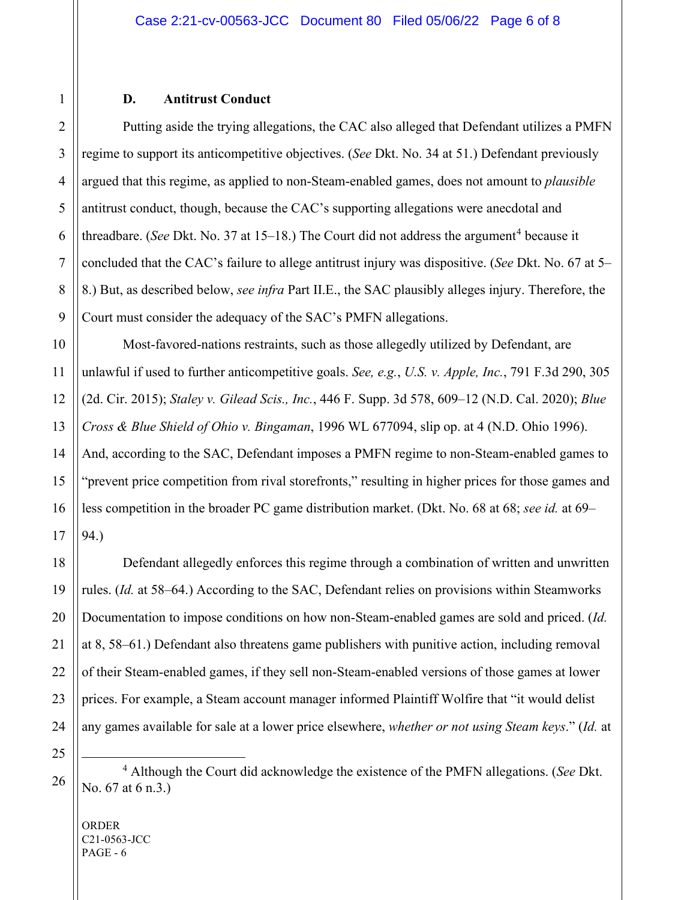#### **D. Antitrust Conduct**

Putting aside the trying allegations, the CAC also alleged that Defendant utilizes a PMFN regime to support its anticompetitive objectives. (*See* Dkt. No. 34 at 51.) Defendant previously argued that this regime, as applied to non-Steam-enabled games, does not amount to *plausible* antitrust conduct, though, because the CAC's supporting allegations were anecdotal and threadbare. (*See* Dkt. No. 37 at 15–18.) The Court did not address the argument<sup>[4](#page-5-0)</sup> because it concluded that the CAC's failure to allege antitrust injury was dispositive. (*See* Dkt. No. 67 at 5– 8.) But, as described below, *see infra* Part II.E., the SAC plausibly alleges injury. Therefore, the Court must consider the adequacy of the SAC's PMFN allegations.

Most-favored-nations restraints, such as those allegedly utilized by Defendant, are unlawful if used to further anticompetitive goals. *See, e.g.*, *U.S. v. Apple, Inc.*, 791 F.3d 290, 305 (2d. Cir. 2015); *Staley v. Gilead Scis., Inc.*, 446 F. Supp. 3d 578, 609–12 (N.D. Cal. 2020); *Blue Cross & Blue Shield of Ohio v. Bingaman*, 1996 WL 677094, slip op. at 4 (N.D. Ohio 1996). And, according to the SAC, Defendant imposes a PMFN regime to non-Steam-enabled games to "prevent price competition from rival storefronts," resulting in higher prices for those games and less competition in the broader PC game distribution market. (Dkt. No. 68 at 68; *see id.* at 69– 94.)

Defendant allegedly enforces this regime through a combination of written and unwritten rules. (*Id.* at 58–64.) According to the SAC, Defendant relies on provisions within Steamworks Documentation to impose conditions on how non-Steam-enabled games are sold and priced. (*Id.* at 8, 58–61.) Defendant also threatens game publishers with punitive action, including removal of their Steam-enabled games, if they sell non-Steam-enabled versions of those games at lower prices. For example, a Steam account manager informed Plaintiff Wolfire that "it would delist any games available for sale at a lower price elsewhere, *whether or not using Steam keys*." (*Id.* at

<span id="page-5-0"></span><sup>4</sup> Although the Court did acknowledge the existence of the PMFN allegations. (*See* Dkt. No. 67 at 6 n.3.)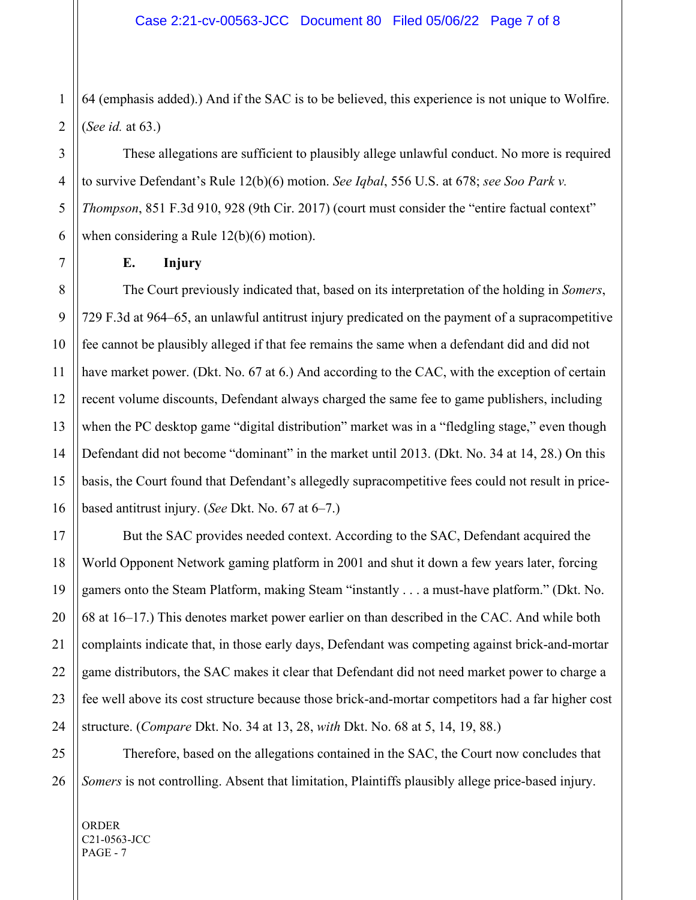1 2 64 (emphasis added).) And if the SAC is to be believed, this experience is not unique to Wolfire. (*See id.* at 63.)

These allegations are sufficient to plausibly allege unlawful conduct. No more is required to survive Defendant's Rule 12(b)(6) motion. *See Iqbal*, 556 U.S. at 678; *see Soo Park v. Thompson*, 851 F.3d 910, 928 (9th Cir. 2017) (court must consider the "entire factual context" when considering a Rule 12(b)(6) motion).

3

#### **E. Injury**

The Court previously indicated that, based on its interpretation of the holding in *Somers*, 729 F.3d at 964–65, an unlawful antitrust injury predicated on the payment of a supracompetitive fee cannot be plausibly alleged if that fee remains the same when a defendant did and did not have market power. (Dkt. No. 67 at 6.) And according to the CAC, with the exception of certain recent volume discounts, Defendant always charged the same fee to game publishers, including when the PC desktop game "digital distribution" market was in a "fledgling stage," even though Defendant did not become "dominant" in the market until 2013. (Dkt. No. 34 at 14, 28.) On this basis, the Court found that Defendant's allegedly supracompetitive fees could not result in pricebased antitrust injury. (*See* Dkt. No. 67 at 6–7.)

But the SAC provides needed context. According to the SAC, Defendant acquired the World Opponent Network gaming platform in 2001 and shut it down a few years later, forcing gamers onto the Steam Platform, making Steam "instantly . . . a must-have platform." (Dkt. No. 68 at 16–17.) This denotes market power earlier on than described in the CAC. And while both complaints indicate that, in those early days, Defendant was competing against brick-and-mortar game distributors, the SAC makes it clear that Defendant did not need market power to charge a fee well above its cost structure because those brick-and-mortar competitors had a far higher cost structure. (*Compare* Dkt. No. 34 at 13, 28, *with* Dkt. No. 68 at 5, 14, 19, 88.)

26 Therefore, based on the allegations contained in the SAC, the Court now concludes that *Somers* is not controlling. Absent that limitation, Plaintiffs plausibly allege price-based injury.

<sup>4</sup> 5 6 7 8 9 10 11 12 13 14 15 16 17 18 19 20 21 22 23 24 25